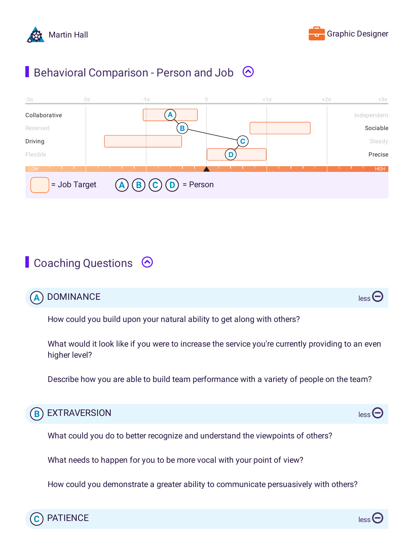



## **Behavioral Comparison - Person and Job**  $\odot$



## Coaching Questions  $\odot$

|  | A DOMINANCE<br>$\text{less}$ |  |  |
|--|------------------------------|--|--|
|--|------------------------------|--|--|

How could you build upon your natural ability to get along with others?

What would it look like if you were to increase the service you're currently providing to an even higher level?

Describe how you are able to build team performance with a variety of people on the team?



What could you do to better recognize and understand the viewpoints of others?

What needs to happen for you to be more vocal with your point of view?

How could you demonstrate a greater ability to communicate persuasively with others?